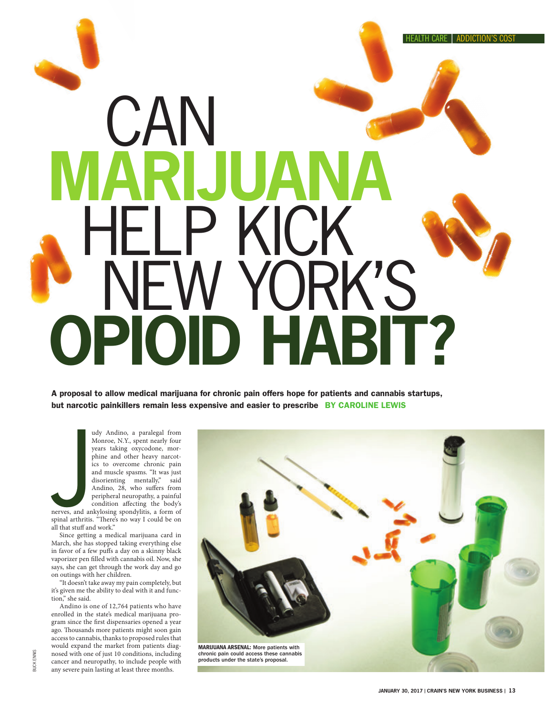# $CAN$ -LP KICK<br>JFW YORK NEW YORK'S<br>PIOID HABIT? **DEIA**

A proposal to allow medical marijuana for chronic pain offers hope for patients and cannabis startups, but narcotic painkillers remain less expensive and easier to prescribe BY CAROLINE LEWIS

> udy Andino, a paralegal from Monroe, N.Y., spent nearly four years taking oxycodone, morphine and other heavy narcotics to overcome chronic pain and muscle spasms. "It was just disorienting mentally," said Andino, 28, who suffers from peripheral neuropathy, a painful condition affecting the body's

**Example 3**<br>Spinal arthritis nerves, and ankylosing spondylitis, a form of spinal arthritis. "There's no way I could be on all that stuff and work."

Since getting a medical marijuana card in March, she has stopped taking everything else in favor of a few puffs a day on a skinny black vaporizer pen filled with cannabis oil. Now, she says, she can get through the work day and go on outings with her children.

"It doesn't take away my pain completely, but it's given me the ability to deal with it and function," she said.

Andino is one of 12,764 patients who have enrolled in the state's medical marijuana program since the first dispensaries opened a year ago. Thousands more patients might soon gain access to cannabis, thanks to proposed rules that would expand the market from patients diagnosed with one of just 10 conditions, including cancer and neuropathy, to include people with any severe pain lasting at least three months.

BUCK ENNIS

BUCK ENNIS

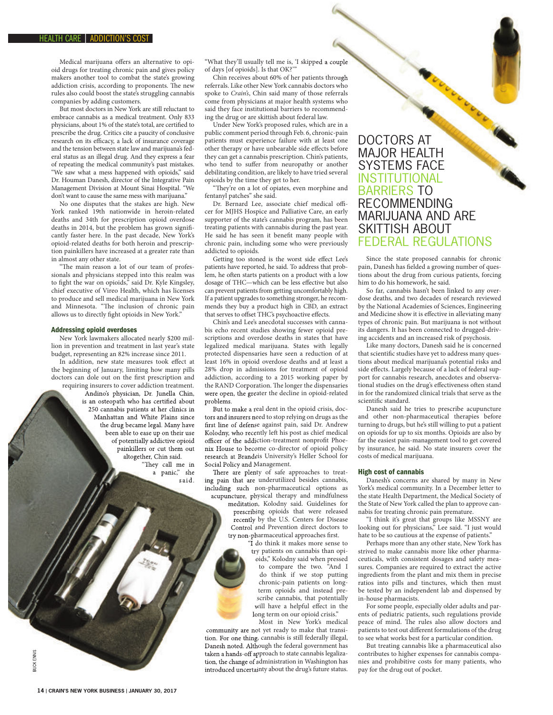Medical marijuana offers an alternative to opioid drugs for treating chronic pain and gives policy makers another tool to combat the state's growing addiction crisis, according to proponents. The new rules also could boost the state's struggling cannabis companies by adding customers.

But most doctors in New York are still reluctant to embrace cannabis as a medical treatment. Only 833 physicians, about 1% of the state's total, are certified to prescribe the drug. Critics cite a paucity of conclusive research on its efficacy, a lack of insurance coverage and the tension between state law and marijuana's federal status as an illegal drug. And they express a fear of repeating the medical community's past mistakes. "We saw what a mess happened with opioids," said Dr. Houman Danesh, director of the Integrative Pain Management Division at Mount Sinai Hospital. "We don't want to cause the same mess with marijuana."

No one disputes that the stakes are high. New York ranked 19th nationwide in heroin-related deaths and 34th for prescription opioid overdose deaths in 2014, but the problem has grown significantly faster here. In the past decade, New York's opioid-related deaths for both heroin and prescription painkillers have increased at a greater rate than in almost any other state.

"The main reason a lot of our team of professionals and physicians stepped into this realm was to fight the war on opioids," said Dr. Kyle Kingsley, chief executive of Vireo Health, which has licenses to produce and sell medical marijuana in New York and Minnesota. "The inclusion of chronic pain allows us to directly fight opioids in New York.

### Addressing opioid overdoses

New York lawmakers allocated nearly \$200 million in prevention and treatment in last year's state budget, representing an 82% increase since 2011.

In addition, new state measures took effect at the beginning of January, limiting how many pills doctors can dole out on the first prescription and requiring insurers to cover addiction treatment. Andino's physician, Dr. Junella Chin, is an osteopath who has certified about 250 cannabis patients at her clinics in Manhattan and White Plains since the drug became legal. Many have been able to ease up on their use of potentially addictive opioid painkillers or cut them out altogether, Chin said. "They call me in a panic," she said.

"What they'll usually tell me is, 'I skipped a couple of days [of opioids]. Is that OK?'

Chin receives about 60% of her patients through Chin receives about 60% of her patients through referrals. Like other New York cannabis doctors who spoke to *Crain's*, Chin said many of those referrals come from physicians at major health systems who said they face institutional barriers to recommending the drug or are skittish about federal law.

Under New York's proposed rules, which are in a public comment period through Feb. 6, chronic-pain patients must experience failure with at least one other therapy or have unbearable side effects before they can get a cannabis prescription. Chin's patients, who tend to suffer from neuropathy or another debilitating condition, are likely to have tried several opioids by the time they get to her.

"They're on a lot of opiates, even morphine and fentanyl patches" she said.

Dr. Bernard Lee, associate chief medical officer for MJHS Hospice and Palliative Care, an early supporter of the state's cannabis program, has been treating patients with cannabis during the past year. He said he has seen it benefit many people with chronic pain, including some who were previously addicted to opioids.

Getting too stoned is the worst side effect Lee's patients have reported, he said. To address that problem, he often starts patients on a product with a low dosage of THC-which can be less effective but also can prevent patients from getting uncomfortably high. If a patient upgrades to something stronger, he recommends they buy a product high in CBD, an extract that serves to offset THC's psychoactive effects.

Chin's and Lee's anecdotal successes with cannabis echo recent studies showing fewer opioid prescriptions and overdose deaths in states that have legalized medical marijuana. States with legally protected dispensaries have seen a reduction of at least 16% in opioid overdose deaths and at least a 28% drop in admissions for treatment of opioid addiction, according to a 2015 working paper by the RAND Corporation. The longer the dispensaries were open, the greater the decline in opioid-related were open, the greater the decline in opioid-related problems. parameter appear is consider the status. The main experiment and the status of the status. DOCTORS AT priority and consider the status of the status. Moreover, and consider the main expectation Chine particular the partic

But to make a real dent in the opioid crisis, doctors and insurers need to stop relying on drugs as the first line of defense against pain, said Dr. Andrew Kolodny, who recently left his post as chief medical officer of the addiction-treatment nonprofit Phoenix House to become co-director of opioid policy research at Brandeis University's Heller School for research at Brandeis University's Heller School for Social Policy and Management. first line of defense against pain, said Dr. Andrew<br>Kolodny, who recently left his post as chief medical<br>officer of the addiction-treatment nonprofit Phoe-

There are plenty of safe approaches to treating pain that are underutilized besides cannabis, including such non-pharmaceutical options as acupuncture, physical therapy and mindfulness including such non-pharmaceutical options as meditation, Kolodny said. Guidelines for

meditation, Kolodny said. Guidelines for prescribing opioids that were released recently by the U.S. Centers for Disease Control and Prevention direct doctors to try non-pharmaceutical approaches first. recently by the U.S. Centers for Disease<br>Control and Prevention direct doctors to<br>try non-pharmaceutical approaches first.

"I do think it makes more sense to try patients on cannabis than opioids," Kolodny said when pressed to compare the two. "And I do think if we stop putting chronic-pain patients on longterm opioids and instead prescribe cannabis, that potentially scribe cannabis, that potentially will have a helpful effect in the long term on our opioid crisis."

Most in New York's medical community are not yet ready to make that transition. For one thing, cannabis is still federally illegal, Danesh noted. Although the federal government has taken a hands-off approach to state cannabis legalization, the change of administration in Washington has introduced uncertainty about the drug's future status. will have a helpful effect in the<br>long term on our opioid crisis."<br>Most in New York's medical<br>community are not yet ready to make that transi-<br>tion. For one thing, cannabis is still federally illegal,<br>Danesh noted. Althoug MAJOR HEALTH SYSTEMS FACE INSTITUTIONAL BARRIERS TO RECOMMENDING MARIJUANA AND ARE SKITTISH ABOUT FEDERAL REGULATIONS

Since the state proposed cannabis for chronic pain, Danesh has fielded a growing number of questions about the drug from curious patients, forcing him to do his homework, he said.

So far, cannabis hasn't been linked to any overdose deaths, and two decades of research reviewed by the National Academies of Sciences, Engineering and Medicine show it is effective in alleviating many types of chronic pain. But marijuana is not without its dangers. It has been connected to drugged-driving accidents and an increased risk of psychosis.

Like many doctors, Danesh said he is concerned that scientific studies have yet to address many questions about medical marijuana's potential risks and side effects. Largely because of a lack of federal support for cannabis research, anecdotes and observational studies on the drug's effectiveness often stand in for the randomized clinical trials that serve as the scientific standard.

Danesh said he tries to prescribe acupuncture and other non-pharmaceutical therapies before turning to drugs, but he's still willing to put a patient on opioids for up to six months. Opioids are also by far the easiest pain-management tool to get covered by insurance, he said. No state insurers cover the costs of medical marijuana.

## High cost of cannabis

Danesh's concerns are shared by many in New York's medical community. In a December letter to the state Health Department, the Medical Society of the State of New York called the plan to approve cannabis for treating chronic pain premature.

"I think it's great that groups like MSSNY are looking out for physicians," Lee said. "I just would hate to be so cautious at the expense of patients."

Perhaps more than any other state, New York has strived to make cannabis more like other pharmaceuticals, with consistent dosages and safety measures. Companies are required to extract the active ingredients from the plant and mix them in precise ratios into pills and tinctures, which then must be tested by an independent lab and dispensed by in-house pharmacists.

For some people, especially older adults and parents of pediatric patients, such regulations provide peace of mind. The rules also allow doctors and patients to test out different formulations of the drug to see what works best for a particular condition.

But treating cannabis like a pharmaceutical also contributes to higher expenses for cannabis companies and prohibitive costs for many patients, who pay for the drug out of pocket.